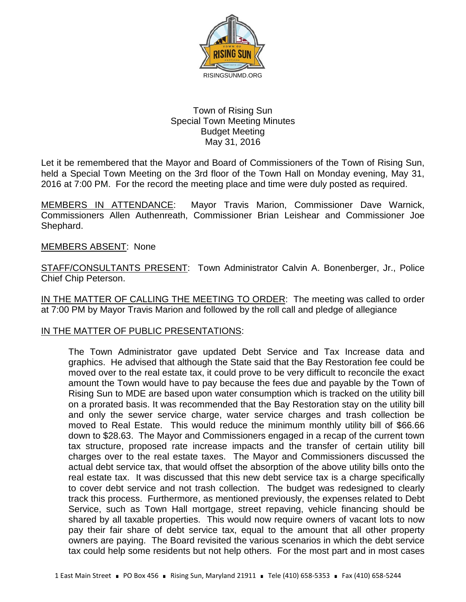

## Town of Rising Sun Special Town Meeting Minutes Budget Meeting May 31, 2016

Let it be remembered that the Mayor and Board of Commissioners of the Town of Rising Sun, held a Special Town Meeting on the 3rd floor of the Town Hall on Monday evening, May 31, 2016 at 7:00 PM. For the record the meeting place and time were duly posted as required.

MEMBERS IN ATTENDANCE: Mayor Travis Marion, Commissioner Dave Warnick, Commissioners Allen Authenreath, Commissioner Brian Leishear and Commissioner Joe Shephard.

## MEMBERS ABSENT: None

STAFF/CONSULTANTS PRESENT: Town Administrator Calvin A. Bonenberger, Jr., Police Chief Chip Peterson.

IN THE MATTER OF CALLING THE MEETING TO ORDER: The meeting was called to order at 7:00 PM by Mayor Travis Marion and followed by the roll call and pledge of allegiance

## IN THE MATTER OF PUBLIC PRESENTATIONS:

The Town Administrator gave updated Debt Service and Tax Increase data and graphics. He advised that although the State said that the Bay Restoration fee could be moved over to the real estate tax, it could prove to be very difficult to reconcile the exact amount the Town would have to pay because the fees due and payable by the Town of Rising Sun to MDE are based upon water consumption which is tracked on the utility bill on a prorated basis. It was recommended that the Bay Restoration stay on the utility bill and only the sewer service charge, water service charges and trash collection be moved to Real Estate. This would reduce the minimum monthly utility bill of \$66.66 down to \$28.63. The Mayor and Commissioners engaged in a recap of the current town tax structure, proposed rate increase impacts and the transfer of certain utility bill charges over to the real estate taxes. The Mayor and Commissioners discussed the actual debt service tax, that would offset the absorption of the above utility bills onto the real estate tax. It was discussed that this new debt service tax is a charge specifically to cover debt service and not trash collection. The budget was redesigned to clearly track this process. Furthermore, as mentioned previously, the expenses related to Debt Service, such as Town Hall mortgage, street repaving, vehicle financing should be shared by all taxable properties. This would now require owners of vacant lots to now pay their fair share of debt service tax, equal to the amount that all other property owners are paying. The Board revisited the various scenarios in which the debt service tax could help some residents but not help others. For the most part and in most cases